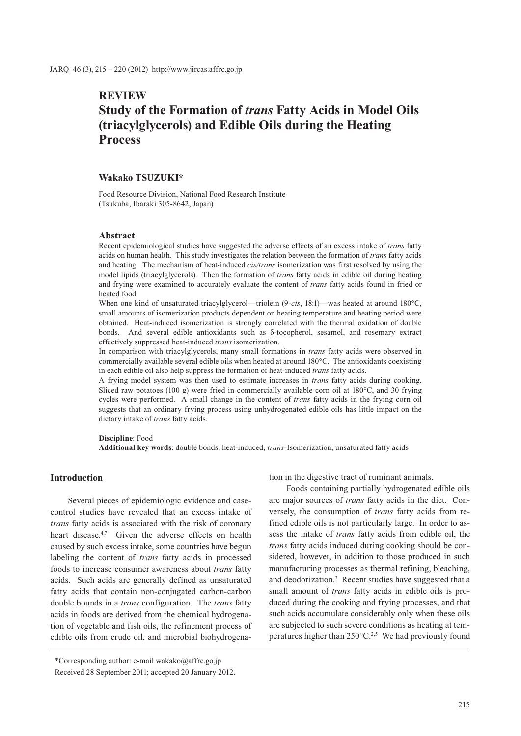# **REVIEW Study of the Formation of** *trans* **Fatty Acids in Model Oils (triacylglycerols) and Edible Oils during the Heating Process**

## **Wakako TSUZUKI\***

Food Resource Division, National Food Research Institute (Tsukuba, Ibaraki 305-8642, Japan)

#### **Abstract**

Recent epidemiological studies have suggested the adverse effects of an excess intake of *trans* fatty acids on human health. This study investigates the relation between the formation of *trans* fatty acids and heating. The mechanism of heat-induced *cis/trans* isomerization was first resolved by using the model lipids (triacylglycerols). Then the formation of *trans* fatty acids in edible oil during heating and frying were examined to accurately evaluate the content of *trans* fatty acids found in fried or heated food.

When one kind of unsaturated triacylglycerol—triolein (9-*cis*, 18:1)—was heated at around 180°C, small amounts of isomerization products dependent on heating temperature and heating period were obtained. Heat-induced isomerization is strongly correlated with the thermal oxidation of double bonds. And several edible antioxidants such as  $\delta$ -tocopherol, sesamol, and rosemary extract effectively suppressed heat-induced *trans* isomerization.

In comparison with triacylglycerols, many small formations in *trans* fatty acids were observed in commercially available several edible oils when heated at around 180°C. The antioxidants coexisting in each edible oil also help suppress the formation of heat-induced *trans* fatty acids.

A frying model system was then used to estimate increases in *trans* fatty acids during cooking. Sliced raw potatoes (100 g) were fried in commercially available corn oil at 180°C, and 30 frying cycles were performed. A small change in the content of *trans* fatty acids in the frying corn oil suggests that an ordinary frying process using unhydrogenated edible oils has little impact on the dietary intake of *trans* fatty acids.

#### **Discipline**: Food

**Additional key words**: double bonds, heat-induced, *trans*-Isomerization, unsaturated fatty acids

### **Introduction**

Several pieces of epidemiologic evidence and casecontrol studies have revealed that an excess intake of *trans* fatty acids is associated with the risk of coronary heart disease.<sup>4,7</sup> Given the adverse effects on health caused by such excess intake, some countries have begun labeling the content of *trans* fatty acids in processed foods to increase consumer awareness about *trans* fatty acids. Such acids are generally defined as unsaturated fatty acids that contain non-conjugated carbon-carbon double bounds in a *trans* configuration. The *trans* fatty acids in foods are derived from the chemical hydrogenation of vegetable and fish oils, the refinement process of edible oils from crude oil, and microbial biohydrogenation in the digestive tract of ruminant animals.

Foods containing partially hydrogenated edible oils are major sources of *trans* fatty acids in the diet. Conversely, the consumption of *trans* fatty acids from refined edible oils is not particularly large. In order to assess the intake of *trans* fatty acids from edible oil, the *trans* fatty acids induced during cooking should be considered, however, in addition to those produced in such manufacturing processes as thermal refining, bleaching, and deodorization.<sup>3</sup> Recent studies have suggested that a small amount of *trans* fatty acids in edible oils is produced during the cooking and frying processes, and that such acids accumulate considerably only when these oils are subjected to such severe conditions as heating at temperatures higher than  $250^{\circ}$ C.<sup>2,5</sup> We had previously found

<sup>\*</sup>Corresponding author: e-mail wakako@affrc.go.jp Received 28 September 2011; accepted 20 January 2012.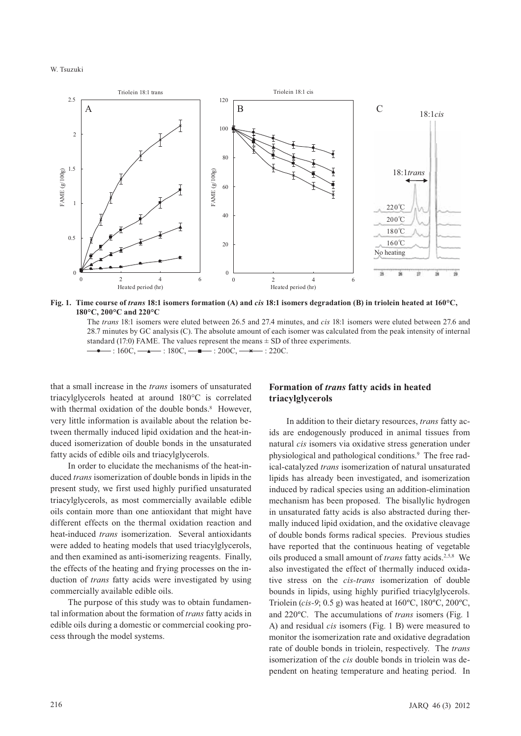W. Tsuzuki



**Fig. 1. Time course of** *trans* **18:1 isomers formation (A) and** *cis* **18:1 isomers degradation (B) in triolein heated at 160°C, 180°C, 200°C and 220°C**

 The *trans* 18:1 isomers were eluted between 26.5 and 27.4 minutes, and *cis* 18:1 isomers were eluted between 27.6 and 28.7 minutes by GC analysis (C). The absolute amount of each isomer was calculated from the peak intensity of internal standard (17:0) FAME. The values represent the means  $\pm$  SD of three experiments.  $\cdot : 160C, \longrightarrow : 180C, \longrightarrow : 200C, \longrightarrow : 220C.$ 

that a small increase in the *trans* isomers of unsaturated triacylglycerols heated at around 180°C is correlated with thermal oxidation of the double bonds.<sup>8</sup> However, very little information is available about the relation between thermally induced lipid oxidation and the heat-induced isomerization of double bonds in the unsaturated fatty acids of edible oils and triacylglycerols.

In order to elucidate the mechanisms of the heat-induced *trans* isomerization of double bonds in lipids in the present study, we first used highly purified unsaturated triacylglycerols, as most commercially available edible oils contain more than one antioxidant that might have different effects on the thermal oxidation reaction and heat-induced *trans* isomerization. Several antioxidants were added to heating models that used triacylglycerols, and then examined as anti-isomerizing reagents. Finally, the effects of the heating and frying processes on the induction of *trans* fatty acids were investigated by using commercially available edible oils.

The purpose of this study was to obtain fundamental information about the formation of *trans* fatty acids in edible oils during a domestic or commercial cooking process through the model systems.

# **Formation of** *trans* **fatty acids in heated triacylglycerols**

In addition to their dietary resources, *trans* fatty acids are endogenously produced in animal tissues from natural *cis* isomers via oxidative stress generation under physiological and pathological conditions.<sup>9</sup> The free radical-catalyzed *trans* isomerization of natural unsaturated lipids has already been investigated, and isomerization induced by radical species using an addition-elimination mechanism has been proposed. The bisallylic hydrogen in unsaturated fatty acids is also abstracted during thermally induced lipid oxidation, and the oxidative cleavage of double bonds forms radical species. Previous studies have reported that the continuous heating of vegetable oils produced a small amount of *trans* fatty acids.2,5,8 We also investigated the effect of thermally induced oxidative stress on the *cis-trans* isomerization of double bounds in lipids, using highly purified triacylglycerols. Triolein (*cis-9*; 0.5 g) was heated at 160ºC, 180ºC, 200ºC, and 220ºC. The accumulations of *trans* isomers (Fig. 1 A) and residual *cis* isomers (Fig. 1 B) were measured to monitor the isomerization rate and oxidative degradation rate of double bonds in triolein, respectively. The *trans* isomerization of the *cis* double bonds in triolein was dependent on heating temperature and heating period. In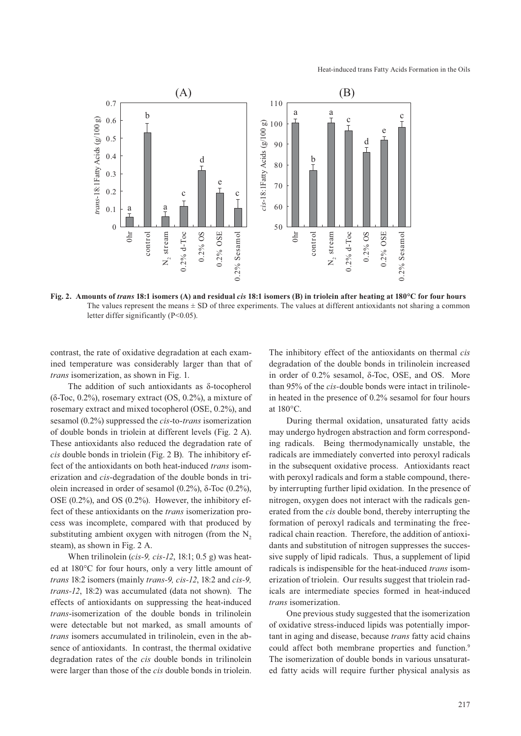

**Fig. 2. Amounts of** *trans* **18:1 isomers (A) and residual** *cis* **18:1 isomers (B) in triolein after heating at 180°C for four hours** The values represent the means  $\pm$  SD of three experiments. The values at different antioxidants not sharing a common letter differ significantly (P<0.05).

contrast, the rate of oxidative degradation at each examined temperature was considerably larger than that of *trans* isomerization, as shown in Fig. 1.

The addition of such antioxidants as  $\delta$ -tocopherol  $(\delta$ -Toc, 0.2%), rosemary extract  $(OS, 0.2\%)$ , a mixture of rosemary extract and mixed tocopherol (OSE, 0.2%), and sesamol (0.2%) suppressed the *cis*-to-*trans* isomerization of double bonds in triolein at different levels (Fig. 2 A). These antioxidants also reduced the degradation rate of *cis* double bonds in triolein (Fig. 2 B). The inhibitory effect of the antioxidants on both heat-induced *trans* isomerization and *cis*-degradation of the double bonds in tri olein increased in order of sesamol  $(0.2\%)$ ,  $\delta$ -Toc  $(0.2\%)$ , OSE (0.2%), and OS (0.2%). However, the inhibitory effect of these antioxidants on the *trans* isomerization process was incomplete, compared with that produced by substituting ambient oxygen with nitrogen (from the  $N<sub>2</sub>$ steam), as shown in Fig. 2 A.

When trilinolein (*cis-9, cis-12*, 18:1; 0.5 g) was heated at 180°C for four hours, only a very little amount of *trans* 18:2 isomers (mainly *trans-9, cis-12*, 18:2 and *cis-9, trans-12*, 18:2) was accumulated (data not shown). The effects of antioxidants on suppressing the heat-induced *trans*-isomerization of the double bonds in trilinolein were detectable but not marked, as small amounts of *trans* isomers accumulated in trilinolein, even in the absence of antioxidants. In contrast, the thermal oxidative degradation rates of the *cis* double bonds in trilinolein were larger than those of the *cis* double bonds in triolein. The inhibitory effect of the antioxidants on thermal *cis* degradation of the double bonds in trilinolein increased in order of  $0.2\%$  sesamol,  $\delta$ -Toc, OSE, and OS. More than 95% of the *cis-*double bonds were intact in trilinolein heated in the presence of 0.2% sesamol for four hours at 180°C.

During thermal oxidation, unsaturated fatty acids may undergo hydrogen abstraction and form corresponding radicals. Being thermodynamically unstable, the radicals are immediately converted into peroxyl radicals in the subsequent oxidative process. Antioxidants react with peroxyl radicals and form a stable compound, thereby interrupting further lipid oxidation. In the presence of nitrogen, oxygen does not interact with the radicals generated from the *cis* double bond, thereby interrupting the formation of peroxyl radicals and terminating the freeradical chain reaction. Therefore, the addition of antioxidants and substitution of nitrogen suppresses the successive supply of lipid radicals. Thus, a supplement of lipid radicals is indispensible for the heat-induced *trans* isomerization of triolein. Our results suggest that triolein radicals are intermediate species formed in heat-induced *trans* isomerization.

One previous study suggested that the isomerization of oxidative stress-induced lipids was potentially important in aging and disease, because *trans* fatty acid chains could affect both membrane properties and function.<sup>9</sup> The isomerization of double bonds in various unsaturated fatty acids will require further physical analysis as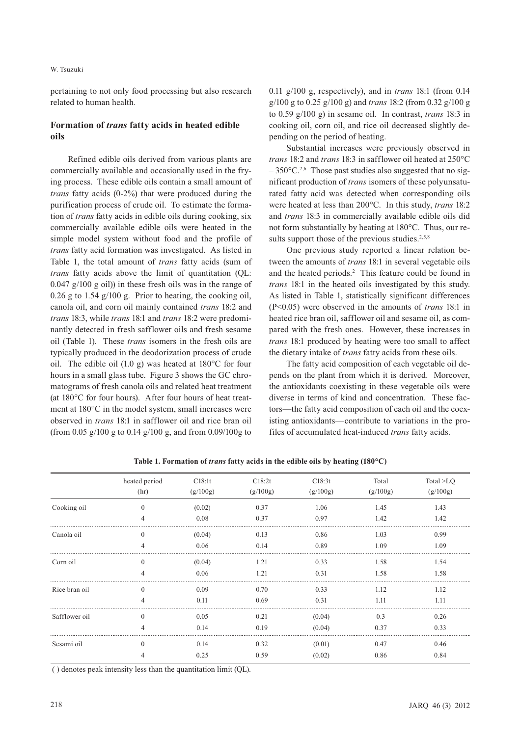#### W. Tsuzuki

pertaining to not only food processing but also research related to human health.

# **Formation of** *trans* **fatty acids in heated edible oils**

Refined edible oils derived from various plants are commercially available and occasionally used in the frying process. These edible oils contain a small amount of *trans* fatty acids (0-2%) that were produced during the purification process of crude oil. To estimate the formation of *trans* fatty acids in edible oils during cooking, six commercially available edible oils were heated in the simple model system without food and the profile of *trans* fatty acid formation was investigated. As listed in Table 1, the total amount of *trans* fatty acids (sum of *trans* fatty acids above the limit of quantitation (QL: 0.047 g/100 g oil)) in these fresh oils was in the range of 0.26 g to 1.54 g/100 g. Prior to heating, the cooking oil, canola oil, and corn oil mainly contained *trans* 18:2 and *trans* 18:3, while *trans* 18:1 and *trans* 18:2 were predominantly detected in fresh safflower oils and fresh sesame oil (Table 1). These *trans* isomers in the fresh oils are typically produced in the deodorization process of crude oil. The edible oil (1.0 g) was heated at 180°C for four hours in a small glass tube. Figure 3 shows the GC chromatograms of fresh canola oils and related heat treatment (at 180°C for four hours). After four hours of heat treatment at 180°C in the model system, small increases were observed in *trans* 18:1 in safflower oil and rice bran oil (from 0.05 g/100 g to 0.14 g/100 g, and from 0.09/100g to

0.11 g/100 g, respectively), and in *trans* 18:1 (from 0.14 g/100 g to 0.25 g/100 g) and *trans* 18:2 (from 0.32 g/100 g to 0.59 g/100 g) in sesame oil. In contrast, *trans* 18:3 in cooking oil, corn oil, and rice oil decreased slightly depending on the period of heating.

Substantial increases were previously observed in *trans* 18:2 and *trans* 18:3 in safflower oil heated at 250°C  $-350^{\circ}$ C.<sup>2,6</sup> Those past studies also suggested that no significant production of *trans* isomers of these polyunsaturated fatty acid was detected when corresponding oils were heated at less than 200°C. In this study, *trans* 18:2 and *trans* 18:3 in commercially available edible oils did not form substantially by heating at 180°C. Thus, our results support those of the previous studies.<sup>2,5,8</sup>

One previous study reported a linear relation between the amounts of *trans* 18:1 in several vegetable oils and the heated periods.<sup>2</sup> This feature could be found in *trans* 18:1 in the heated oils investigated by this study. As listed in Table 1, statistically significant differences (P<0.05) were observed in the amounts of *trans* 18:1 in heated rice bran oil, safflower oil and sesame oil, as compared with the fresh ones. However, these increases in *trans* 18:1 produced by heating were too small to affect the dietary intake of *trans* fatty acids from these oils.

The fatty acid composition of each vegetable oil depends on the plant from which it is derived. Moreover, the antioxidants coexisting in these vegetable oils were diverse in terms of kind and concentration. These factors—the fatty acid composition of each oil and the coexisting antioxidants—contribute to variations in the profiles of accumulated heat-induced *trans* fatty acids.

|               | heated period<br>(hr) | C18:1t<br>(g/100g) | C18:2t<br>(g/100g) | C18:3t<br>(g/100g) | Total<br>(g/100g) | Total >LQ<br>(g/100g) |
|---------------|-----------------------|--------------------|--------------------|--------------------|-------------------|-----------------------|
| Cooking oil   | $\theta$              | (0.02)             | 0.37               | 1.06               | 1.45              | 1.43                  |
|               |                       | 0.08               | 0.37               | 0.97               | 1.42              | 1.42                  |
| Canola oil    | $\Omega$              | (0.04)             | 0.13               | 0.86               | 1.03              | 0.99                  |
|               |                       | 0.06               | 0.14               | 0.89               | 1.09              | 1.09                  |
| Corn oil      |                       | (0.04)             | 1.21               | 0.33               | 1.58              | 1.54                  |
|               |                       | 0.06               | 1.21               | 0.31               | 1.58              | 1.58                  |
| Rice bran oil | $\Omega$              | 0.09               | 0.70               | 0.33               | 1.12              | 1.12                  |
|               |                       | 0.11               | 0.69               | 0.31               | 1.11              | 1.11                  |
| Safflower oil | $\Omega$              | 0.05               | 0.21               | (0.04)             | 0.3               | 0.26                  |
|               |                       | 0.14               | 0.19               | (0.04)             | 0.37              | 0.33                  |
| Sesami oil    | $\theta$              | 0.14               | 0.32               | (0.01)             | 0.47              | 0.46                  |
|               |                       | 0.25               | 0.59               | (0.02)             | 0.86              | 0.84                  |

**Table 1. Formation of** *trans* **fatty acids in the edible oils by heating (180°C)** 

( ) denotes peak intensity less than the quantitation limit (QL).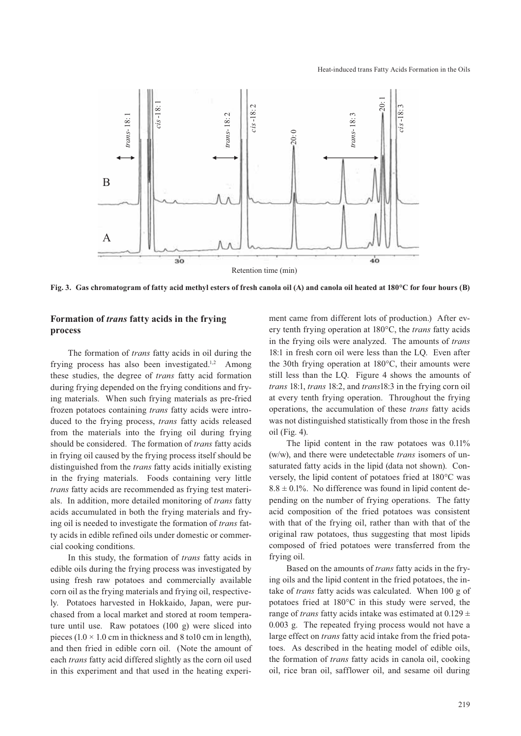

**Fig. 3. Gas chromatogram of fatty acid methyl esters of fresh canola oil (A) and canola oil heated at 180°C for four hours (B)**

# **Formation of** *trans* **fatty acids in the frying process**

The formation of *trans* fatty acids in oil during the frying process has also been investigated.<sup>1,2</sup> Among these studies, the degree of *trans* fatty acid formation during frying depended on the frying conditions and frying materials. When such frying materials as pre-fried frozen potatoes containing *trans* fatty acids were introduced to the frying process, *trans* fatty acids released from the materials into the frying oil during frying should be considered. The formation of *trans* fatty acids in frying oil caused by the frying process itself should be distinguished from the *trans* fatty acids initially existing in the frying materials. Foods containing very little *trans* fatty acids are recommended as frying test materials. In addition, more detailed monitoring of *trans* fatty acids accumulated in both the frying materials and frying oil is needed to investigate the formation of *trans* fatty acids in edible refined oils under domestic or commercial cooking conditions.

In this study, the formation of *trans* fatty acids in edible oils during the frying process was investigated by using fresh raw potatoes and commercially available corn oil as the frying materials and frying oil, respectively. Potatoes harvested in Hokkaido, Japan, were purchased from a local market and stored at room temperature until use. Raw potatoes (100 g) were sliced into pieces (1.0  $\times$  1.0 cm in thickness and 8 to10 cm in length), and then fried in edible corn oil. (Note the amount of each *trans* fatty acid differed slightly as the corn oil used in this experiment and that used in the heating experiment came from different lots of production.) After every tenth frying operation at 180°C, the *trans* fatty acids in the frying oils were analyzed. The amounts of *trans* 18:1 in fresh corn oil were less than the LQ. Even after the 30th frying operation at 180°C, their amounts were still less than the LQ. Figure 4 shows the amounts of *trans* 18:1, *trans* 18:2, and *trans*18:3 in the frying corn oil at every tenth frying operation. Throughout the frying operations, the accumulation of these *trans* fatty acids was not distinguished statistically from those in the fresh oil (Fig. 4).

The lipid content in the raw potatoes was 0.11% (w/w), and there were undetectable *trans* isomers of unsaturated fatty acids in the lipid (data not shown). Conversely, the lipid content of potatoes fried at 180°C was  $8.8 \pm 0.1\%$ . No difference was found in lipid content depending on the number of frying operations. The fatty acid composition of the fried potatoes was consistent with that of the frying oil, rather than with that of the original raw potatoes, thus suggesting that most lipids composed of fried potatoes were transferred from the frying oil.

Based on the amounts of *trans* fatty acids in the frying oils and the lipid content in the fried potatoes, the intake of *trans* fatty acids was calculated. When 100 g of potatoes fried at 180°C in this study were served, the range of *trans* fatty acids intake was estimated at 0.129 ± 0.003 g. The repeated frying process would not have a large effect on *trans* fatty acid intake from the fried potatoes. As described in the heating model of edible oils, the formation of *trans* fatty acids in canola oil, cooking oil, rice bran oil, safflower oil, and sesame oil during